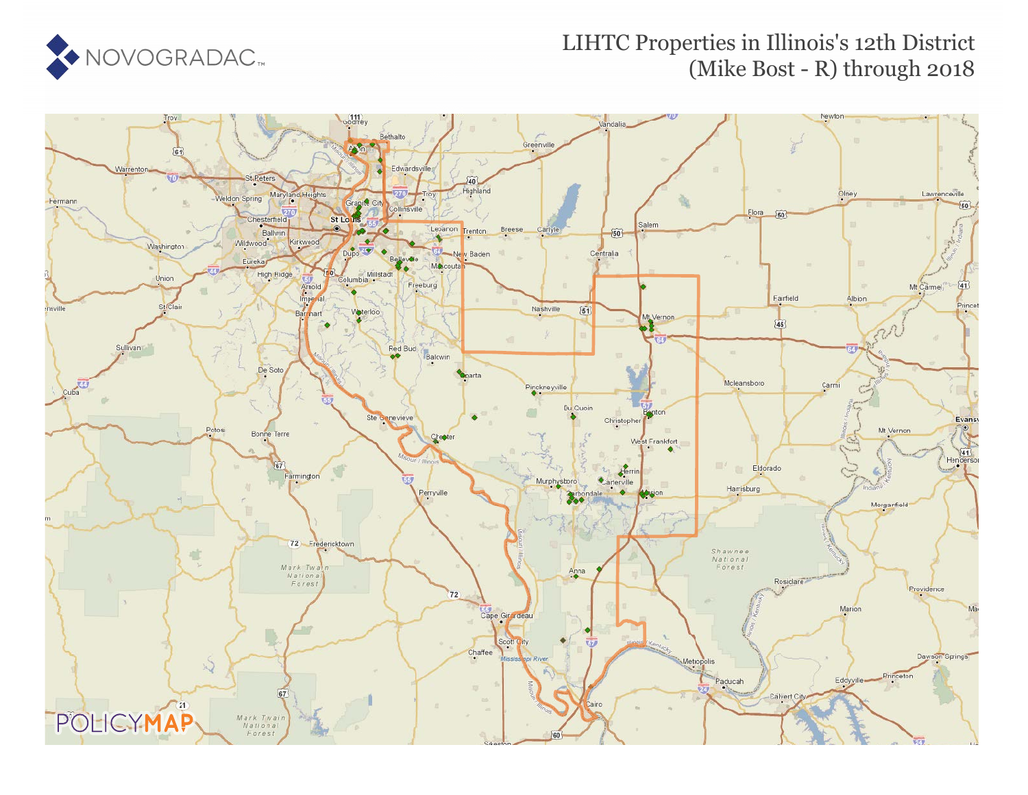

#### LIHTC Properties in Illinois's 12th District (Mike Bost - R) through 2018

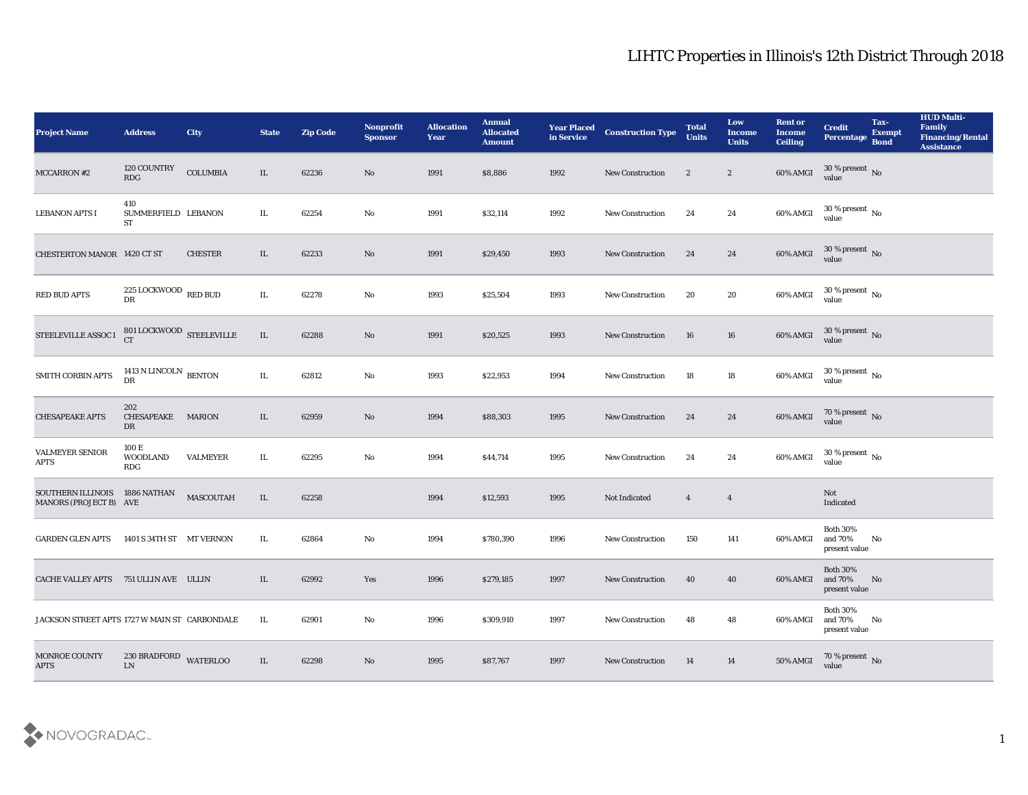| <b>Project Name</b>                                     | <b>Address</b>                                  | <b>City</b>     | <b>State</b> | <b>Zip Code</b> | Nonprofit<br><b>Sponsor</b> | <b>Allocation</b><br>Year | <b>Annual</b><br><b>Allocated</b><br><b>Amount</b> | <b>Year Placed</b><br>in Service | <b>Construction Type</b> | <b>Total</b><br><b>Units</b> | Low<br><b>Income</b><br><b>Units</b> | <b>Rent or</b><br><b>Income</b><br><b>Ceiling</b> | <b>Credit</b><br>Percentage Bond               | Tax-<br><b>Exempt</b> | <b>HUD Multi-</b><br>Family<br><b>Financing/Rental</b><br><b>Assistance</b> |
|---------------------------------------------------------|-------------------------------------------------|-----------------|--------------|-----------------|-----------------------------|---------------------------|----------------------------------------------------|----------------------------------|--------------------------|------------------------------|--------------------------------------|---------------------------------------------------|------------------------------------------------|-----------------------|-----------------------------------------------------------------------------|
| MCCARRON #2                                             | 120 COUNTRY<br>$\mathbf{R}\mathbf{D}\mathbf{G}$ | <b>COLUMBIA</b> | $\rm IL$     | 62236           | No                          | 1991                      | \$8,886                                            | 1992                             | New Construction         | $\boldsymbol{2}$             | $\mathbf{2}$                         | $60\%$ AMGI                                       | $30\,\%$ present $\,$ No value                 |                       |                                                                             |
| <b>LEBANON APTS I</b>                                   | 410<br>SUMMERFIELD LEBANON<br><b>ST</b>         |                 | IL.          | 62254           | No                          | 1991                      | \$32,114                                           | 1992                             | <b>New Construction</b>  | 24                           | 24                                   | 60% AMGI                                          | $30\,\%$ present $\,$ No value                 |                       |                                                                             |
| CHESTERTON MANOR 1420 CT ST                             |                                                 | <b>CHESTER</b>  | IL           | 62233           | No                          | 1991                      | \$29,450                                           | 1993                             | <b>New Construction</b>  | 24                           | 24                                   | 60% AMGI                                          | $30\,\%$ present $\,$ No value                 |                       |                                                                             |
| <b>RED BUD APTS</b>                                     | 225 LOCKWOOD $\,$ RED BUD<br>DR                 |                 | IL           | 62278           | No                          | 1993                      | \$25,504                                           | 1993                             | <b>New Construction</b>  | 20                           | 20                                   | 60% AMGI                                          | $30\,\%$ present $\,$ No value                 |                       |                                                                             |
| STEELEVILLE ASSOC I                                     | 801 LOCKWOOD STEELEVILLE<br><b>CT</b>           |                 | IL           | 62288           | No                          | 1991                      | \$20,525                                           | 1993                             | <b>New Construction</b>  | 16                           | 16                                   | 60% AMGI                                          | $30\,\%$ present $\,$ No value                 |                       |                                                                             |
| SMITH CORBIN APTS                                       | 1413 N LINCOLN BENTON<br>DR                     |                 | IL           | 62812           | No                          | 1993                      | \$22,953                                           | 1994                             | <b>New Construction</b>  | 18                           | 18                                   | 60% AMGI                                          | $30\,\%$ present $\,$ No value                 |                       |                                                                             |
| <b>CHESAPEAKE APTS</b>                                  | 202<br>CHESAPEAKE<br>DR                         | <b>MARION</b>   | IL           | 62959           | No                          | 1994                      | \$88,303                                           | 1995                             | <b>New Construction</b>  | 24                           | 24                                   | $60\%$ AMGI                                       | $70$ % present $\,$ No $\,$ value $\,$         |                       |                                                                             |
| <b>VALMEYER SENIOR</b><br><b>APTS</b>                   | 100 E<br><b>WOODLAND</b><br>RDG                 | <b>VALMEYER</b> | IL           | 62295           | No                          | 1994                      | \$44,714                                           | 1995                             | <b>New Construction</b>  | 24                           | 24                                   | 60% AMGI                                          | $30\,\%$ present $\,$ No value                 |                       |                                                                             |
| SOUTHERN ILLINOIS 1886 NATHAN<br>MANORS (PROJECT B) AVE |                                                 | MASCOUTAH       | IL           | 62258           |                             | 1994                      | \$12,593                                           | 1995                             | Not Indicated            | $\overline{4}$               | $\overline{4}$                       |                                                   | Not<br>Indicated                               |                       |                                                                             |
| <b>GARDEN GLEN APTS</b>                                 | 1401 S 34TH ST MT VERNON                        |                 | IL           | 62864           | No                          | 1994                      | \$780,390                                          | 1996                             | <b>New Construction</b>  | 150                          | 141                                  | 60% AMGI                                          | <b>Both 30%</b><br>and 70%<br>present value    | No                    |                                                                             |
| CACHE VALLEY APTS 751 ULLIN AVE ULLIN                   |                                                 |                 | IL           | 62992           | Yes                         | 1996                      | \$279,185                                          | 1997                             | <b>New Construction</b>  | 40                           | 40                                   | 60% AMGI and 70%                                  | <b>Both 30%</b><br>present value               | No                    |                                                                             |
| JACKSON STREET APTS 1727 W MAIN ST CARBONDALE           |                                                 |                 | IL           | 62901           | $\rm\thinspace No$          | 1996                      | \$309,910                                          | 1997                             | <b>New Construction</b>  | 48                           | 48                                   | 60% AMGI                                          | <b>Both 30%</b><br>and $70\%$<br>present value | No                    |                                                                             |
| MONROE COUNTY<br><b>APTS</b>                            | 230 BRADFORD WATERLOO<br>${\rm LN}$             |                 | IL.          | 62298           | $\rm \bf No$                | 1995                      | \$87,767                                           | 1997                             | <b>New Construction</b>  | 14                           | 14                                   | <b>50% AMGI</b>                                   | $70\,\%$ present $\,$ No value                 |                       |                                                                             |

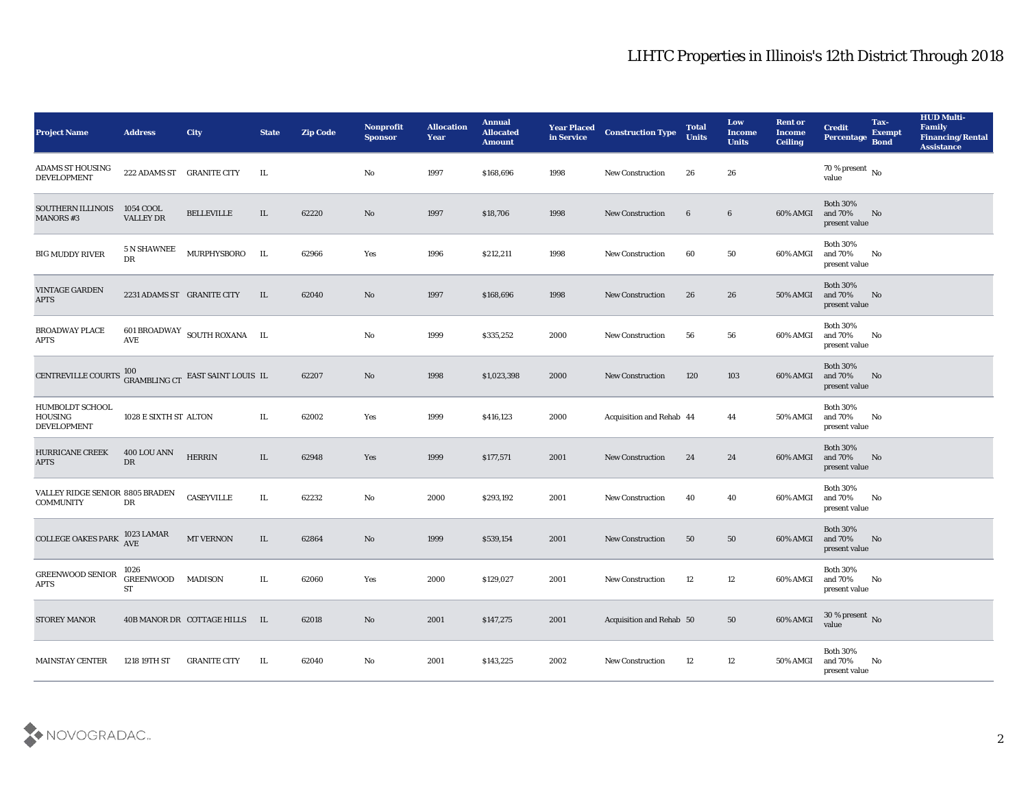| <b>Project Name</b>                                            | <b>Address</b>                 | <b>City</b>                                      | <b>State</b> | <b>Zip Code</b> | Nonprofit<br><b>Sponsor</b> | <b>Allocation</b><br><b>Year</b> | <b>Annual</b><br><b>Allocated</b><br><b>Amount</b> | <b>Year Placed</b><br>in Service | <b>Construction Type</b> | <b>Total</b><br><b>Units</b> | Low<br><b>Income</b><br><b>Units</b> | <b>Rent or</b><br><b>Income</b><br><b>Ceiling</b> | <b>Credit</b><br><b>Percentage</b>          | Tax-<br><b>Exempt</b><br><b>Bond</b> | <b>HUD Multi-</b><br>Family<br><b>Financing/Rental</b><br><b>Assistance</b> |
|----------------------------------------------------------------|--------------------------------|--------------------------------------------------|--------------|-----------------|-----------------------------|----------------------------------|----------------------------------------------------|----------------------------------|--------------------------|------------------------------|--------------------------------------|---------------------------------------------------|---------------------------------------------|--------------------------------------|-----------------------------------------------------------------------------|
| ADAMS ST HOUSING<br><b>DEVELOPMENT</b>                         | 222 ADAMS ST GRANITE CITY      |                                                  | IL           |                 | No                          | 1997                             | \$168,696                                          | 1998                             | <b>New Construction</b>  | 26                           | 26                                   |                                                   | 70 % present $\,$ No $\,$<br>value          |                                      |                                                                             |
| SOUTHERN ILLINOIS<br><b>MANORS #3</b>                          | 1054 COOL<br><b>VALLEY DR</b>  | <b>BELLEVILLE</b>                                | IL           | 62220           | No                          | 1997                             | \$18,706                                           | 1998                             | <b>New Construction</b>  | $6\phantom{.}6$              | $6\phantom{.0}$                      | 60% AMGI                                          | <b>Both 30%</b><br>and 70%<br>present value | No                                   |                                                                             |
| <b>BIG MUDDY RIVER</b>                                         | 5 N SHAWNEE<br>DR              | MURPHYSBORO                                      | IL           | 62966           | Yes                         | 1996                             | \$212,211                                          | 1998                             | <b>New Construction</b>  | 60                           | 50                                   | 60% AMGI                                          | <b>Both 30%</b><br>and 70%<br>present value | No                                   |                                                                             |
| VINTAGE GARDEN<br><b>APTS</b>                                  | 2231 ADAMS ST GRANITE CITY     |                                                  | IL           | 62040           | No                          | 1997                             | \$168,696                                          | 1998                             | <b>New Construction</b>  | 26                           | 26                                   | 50% AMGI                                          | <b>Both 30%</b><br>and 70%<br>present value | No                                   |                                                                             |
| <b>BROADWAY PLACE</b><br>APTS                                  | AVE                            | 601 BROADWAY SOUTH ROXANA IL                     |              |                 | No                          | 1999                             | \$335,252                                          | 2000                             | <b>New Construction</b>  | 56                           | 56                                   | 60% AMGI                                          | <b>Both 30%</b><br>and 70%<br>present value | No                                   |                                                                             |
| CENTREVILLE COURTS                                             |                                | $100$ GRAMBLING CT $\,$ EAST SAINT LOUIS $\,$ IL |              | 62207           | No                          | 1998                             | \$1,023,398                                        | 2000                             | <b>New Construction</b>  | 120                          | 103                                  | 60% AMGI                                          | <b>Both 30%</b><br>and 70%<br>present value | No                                   |                                                                             |
| <b>HUMBOLDT SCHOOL</b><br><b>HOUSING</b><br><b>DEVELOPMENT</b> | 1028 E SIXTH ST ALTON          |                                                  | IL           | 62002           | Yes                         | 1999                             | \$416,123                                          | 2000                             | Acquisition and Rehab 44 |                              | 44                                   | 50% AMGI                                          | <b>Both 30%</b><br>and 70%<br>present value | No                                   |                                                                             |
| <b>HURRICANE CREEK</b><br><b>APTS</b>                          | 400 LOU ANN<br>DR              | <b>HERRIN</b>                                    | IL           | 62948           | Yes                         | 1999                             | \$177,571                                          | 2001                             | <b>New Construction</b>  | 24                           | 24                                   | 60% AMGI                                          | <b>Both 30%</b><br>and 70%<br>present value | No                                   |                                                                             |
| VALLEY RIDGE SENIOR 8805 BRADEN<br><b>COMMUNITY</b>            | DR                             | <b>CASEYVILLE</b>                                | IL           | 62232           | No                          | 2000                             | \$293,192                                          | 2001                             | <b>New Construction</b>  | 40                           | 40                                   | 60% AMGI                                          | <b>Both 30%</b><br>and 70%<br>present value | No                                   |                                                                             |
| <b>COLLEGE OAKES PARK</b>                                      | 1023 LAMAR<br>AVE              | MT VERNON                                        | $\rm IL$     | 62864           | No                          | 1999                             | \$539,154                                          | 2001                             | <b>New Construction</b>  | 50                           | 50                                   | 60% AMGI                                          | <b>Both 30%</b><br>and 70%<br>present value | No                                   |                                                                             |
| <b>GREENWOOD SENIOR</b><br><b>APTS</b>                         | 1026<br><b>GREENWOOD</b><br>ST | <b>MADISON</b>                                   | IL.          | 62060           | Yes                         | 2000                             | \$129,027                                          | 2001                             | <b>New Construction</b>  | 12                           | 12                                   | 60% AMGI                                          | <b>Both 30%</b><br>and 70%<br>present value | No                                   |                                                                             |
| <b>STOREY MANOR</b>                                            |                                | 40B MANOR DR COTTAGE HILLS IL                    |              | 62018           | $\rm\thinspace No$          | 2001                             | \$147,275                                          | 2001                             | Acquisition and Rehab 50 |                              | 50                                   | 60% AMGI                                          | $30\,\%$ present $\,$ No value              |                                      |                                                                             |
| <b>MAINSTAY CENTER</b>                                         | 1218 19TH ST                   | <b>GRANITE CITY</b>                              | IL           | 62040           | $\rm\thinspace No$          | 2001                             | \$143,225                                          | 2002                             | <b>New Construction</b>  | 12                           | 12                                   | <b>50% AMGI</b>                                   | <b>Both 30%</b><br>and 70%<br>present value | No                                   |                                                                             |

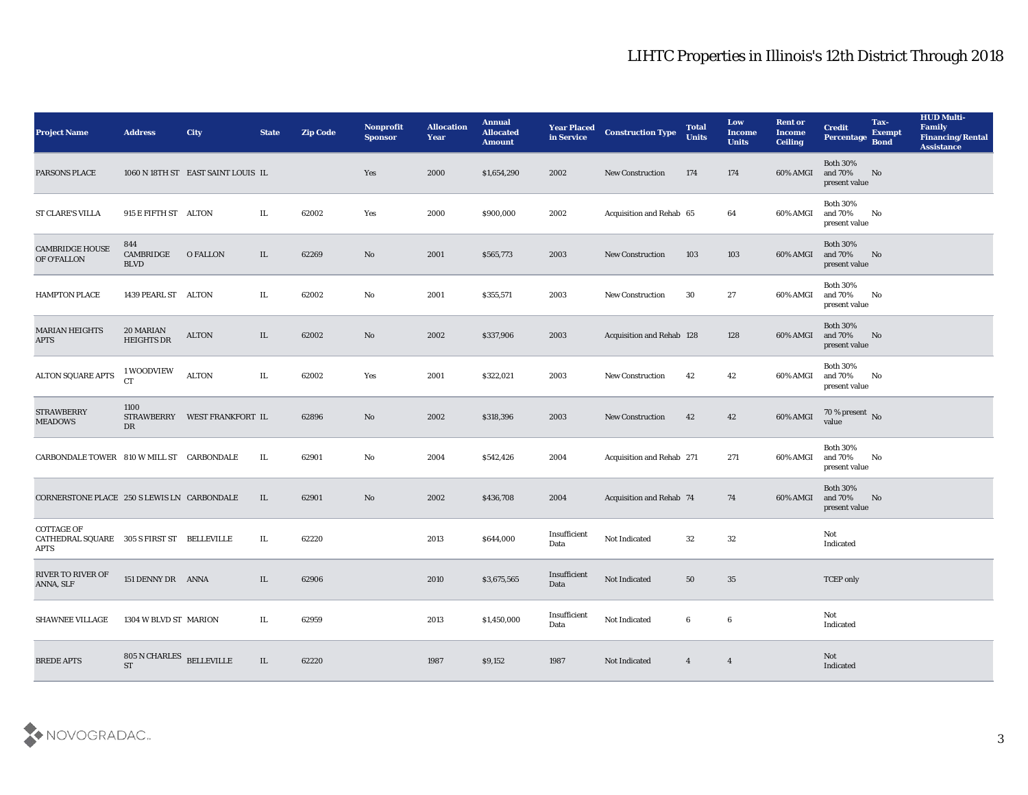| <b>Project Name</b>                                                     | <b>Address</b>                  | <b>City</b>                        | <b>State</b> | <b>Zip Code</b> | Nonprofit<br><b>Sponsor</b> | <b>Allocation</b><br><b>Year</b> | <b>Annual</b><br><b>Allocated</b><br><b>Amount</b> | <b>Year Placed</b><br>in Service | <b>Construction Type</b>        | <b>Total</b><br><b>Units</b> | Low<br><b>Income</b><br><b>Units</b> | <b>Rent or</b><br><b>Income</b><br><b>Ceiling</b> | <b>Credit</b><br><b>Percentage</b>          | Tax-<br><b>Exempt</b><br><b>Bond</b> | <b>HUD Multi-</b><br>Family<br><b>Financing/Rental</b><br><b>Assistance</b> |
|-------------------------------------------------------------------------|---------------------------------|------------------------------------|--------------|-----------------|-----------------------------|----------------------------------|----------------------------------------------------|----------------------------------|---------------------------------|------------------------------|--------------------------------------|---------------------------------------------------|---------------------------------------------|--------------------------------------|-----------------------------------------------------------------------------|
| PARSONS PLACE                                                           |                                 | 1060 N 18TH ST EAST SAINT LOUIS IL |              |                 | Yes                         | 2000                             | \$1,654,290                                        | 2002                             | <b>New Construction</b>         | 174                          | 174                                  | 60% AMGI                                          | <b>Both 30%</b><br>and 70%<br>present value | No                                   |                                                                             |
| <b>ST CLARE'S VILLA</b>                                                 | 915 E FIFTH ST ALTON            |                                    | IL           | 62002           | Yes                         | 2000                             | \$900,000                                          | 2002                             | Acquisition and Rehab 65        |                              | 64                                   | 60% AMGI                                          | <b>Both 30%</b><br>and 70%<br>present value | No                                   |                                                                             |
| <b>CAMBRIDGE HOUSE</b><br>OF O'FALLON                                   | 844<br>CAMBRIDGE<br><b>BLVD</b> | <b>O FALLON</b>                    | IL           | 62269           | No                          | 2001                             | \$565,773                                          | 2003                             | <b>New Construction</b>         | 103                          | 103                                  | 60% AMGI                                          | <b>Both 30%</b><br>and 70%<br>present value | No                                   |                                                                             |
| <b>HAMPTON PLACE</b>                                                    | 1439 PEARL ST                   | ALTON                              | IL           | 62002           | No                          | 2001                             | \$355,571                                          | 2003                             | <b>New Construction</b>         | 30                           | 27                                   | 60% AMGI                                          | <b>Both 30%</b><br>and 70%<br>present value | No                                   |                                                                             |
| <b>MARIAN HEIGHTS</b><br><b>APTS</b>                                    | 20 MARIAN<br><b>HEIGHTS DR</b>  | <b>ALTON</b>                       | IL           | 62002           | No                          | 2002                             | \$337,906                                          | 2003                             | Acquisition and Rehab 128       |                              | 128                                  | 60% AMGI                                          | <b>Both 30%</b><br>and 70%<br>present value | No                                   |                                                                             |
| <b>ALTON SQUARE APTS</b>                                                | 1 WOODVIEW<br><b>CT</b>         | <b>ALTON</b>                       | IL           | 62002           | Yes                         | 2001                             | \$322,021                                          | 2003                             | <b>New Construction</b>         | 42                           | 42                                   | 60% AMGI                                          | <b>Both 30%</b><br>and 70%<br>present value | No                                   |                                                                             |
| <b>STRAWBERRY</b><br><b>MEADOWS</b>                                     | 1100<br>DR                      | STRAWBERRY WEST FRANKFORT IL       |              | 62896           | No                          | 2002                             | \$318,396                                          | 2003                             | <b>New Construction</b>         | 42                           | 42                                   | 60% AMGI                                          | $70\%$ present No<br>value                  |                                      |                                                                             |
| CARBONDALE TOWER 810 W MILL ST CARBONDALE                               |                                 |                                    | IL           | 62901           | No                          | 2004                             | \$542,426                                          | 2004                             | Acquisition and Rehab 271       |                              | 271                                  | 60% AMGI                                          | <b>Both 30%</b><br>and 70%<br>present value | No                                   |                                                                             |
| CORNERSTONE PLACE 250 S LEWIS LN CARBONDALE                             |                                 |                                    | IL           | 62901           | No                          | 2002                             | \$436,708                                          | 2004                             | <b>Acquisition and Rehab 74</b> |                              | 74                                   | 60% AMGI                                          | <b>Both 30%</b><br>and 70%<br>present value | No                                   |                                                                             |
| <b>COTTAGE OF</b><br>CATHEDRAL SQUARE 305 S FIRST ST BELLEVILLE<br>APTS |                                 |                                    | IL           | 62220           |                             | 2013                             | \$644,000                                          | Insufficient<br>Data             | Not Indicated                   | 32                           | 32                                   |                                                   | Not<br>Indicated                            |                                      |                                                                             |
| <b>RIVER TO RIVER OF</b><br>ANNA, SLF                                   | 151 DENNY DR ANNA               |                                    | IL           | 62906           |                             | 2010                             | \$3,675,565                                        | Insufficient<br>Data             | Not Indicated                   | 50                           | 35                                   |                                                   | <b>TCEP</b> only                            |                                      |                                                                             |
| <b>SHAWNEE VILLAGE</b>                                                  | 1304 W BLVD ST MARION           |                                    | IL           | 62959           |                             | 2013                             | \$1,450,000                                        | Insufficient<br>Data             | Not Indicated                   | $6\phantom{.0}$              | $\boldsymbol{6}$                     |                                                   | Not<br>Indicated                            |                                      |                                                                             |
| <b>BREDE APTS</b>                                                       | 805 N CHARLES<br><b>ST</b>      | <b>BELLEVILLE</b>                  | IL           | 62220           |                             | 1987                             | \$9,152                                            | 1987                             | Not Indicated                   | $\overline{4}$               | $\overline{4}$                       |                                                   | Not<br>Indicated                            |                                      |                                                                             |

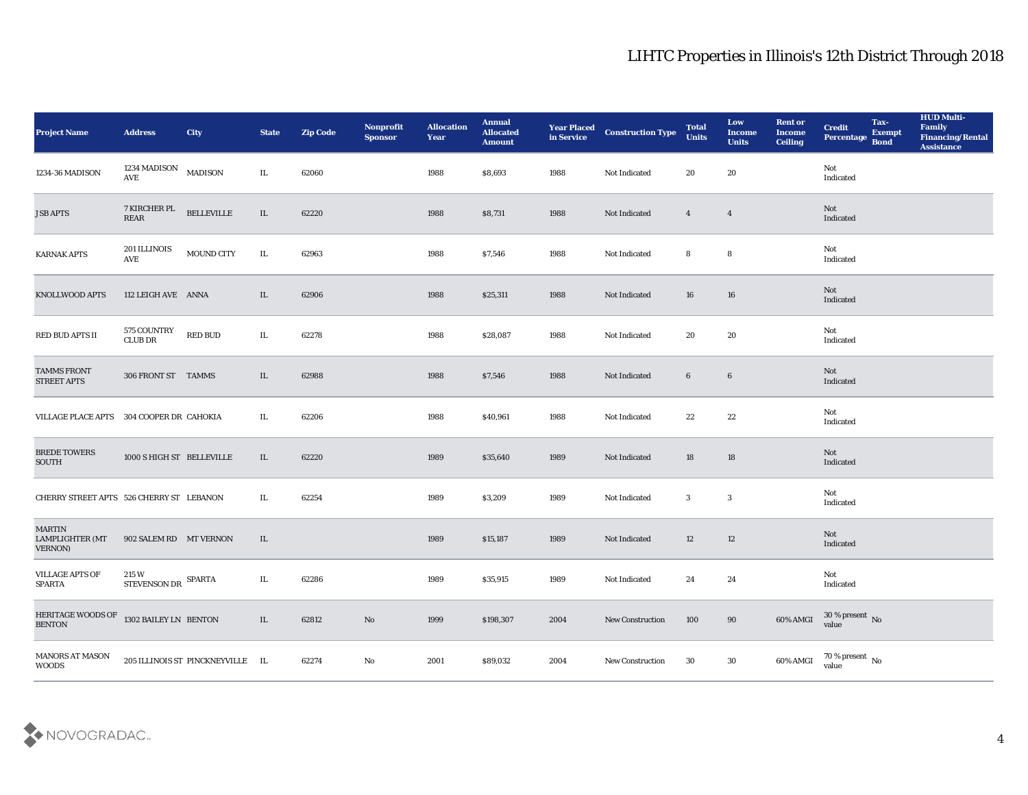| <b>Project Name</b>                                                     | <b>Address</b>                        | <b>City</b>                      | <b>State</b> | <b>Zip Code</b> | Nonprofit<br><b>Sponsor</b> | <b>Allocation</b><br>Year | <b>Annual</b><br><b>Allocated</b><br><b>Amount</b> | <b>Year Placed<br/>in Service</b> | <b>Construction Type</b> | <b>Total</b><br><b>Units</b> | Low<br><b>Income</b><br><b>Units</b> | <b>Rent or</b><br><b>Income</b><br><b>Ceiling</b> | <b>Credit</b><br>Percentage        | Tax-<br><b>Exempt</b><br><b>Bond</b> | <b>HUD Multi-</b><br>Family<br><b>Financing/Rental</b><br><b>Assistance</b> |
|-------------------------------------------------------------------------|---------------------------------------|----------------------------------|--------------|-----------------|-----------------------------|---------------------------|----------------------------------------------------|-----------------------------------|--------------------------|------------------------------|--------------------------------------|---------------------------------------------------|------------------------------------|--------------------------------------|-----------------------------------------------------------------------------|
| 1234-36 MADISON                                                         | 1234 MADISON MADISON<br>AVE           |                                  | IL.          | 62060           |                             | 1988                      | \$8,693                                            | 1988                              | Not Indicated            | 20                           | 20                                   |                                                   | Not<br>Indicated                   |                                      |                                                                             |
| <b>JSB APTS</b>                                                         | 7 KIRCHER PL<br>$\operatorname{REAR}$ | $\textbf{BELLEVILLE}$            | IL           | 62220           |                             | 1988                      | \$8,731                                            | 1988                              | Not Indicated            | $\overline{4}$               | $\overline{4}$                       |                                                   | Not<br>Indicated                   |                                      |                                                                             |
| <b>KARNAK APTS</b>                                                      | 201 ILLINOIS<br>AVE                   | <b>MOUND CITY</b>                | $\rm IL$     | 62963           |                             | 1988                      | \$7,546                                            | 1988                              | Not Indicated            | 8                            | 8                                    |                                                   | Not<br>Indicated                   |                                      |                                                                             |
| <b>KNOLLWOOD APTS</b>                                                   | 112 LEIGH AVE ANNA                    |                                  | IL           | 62906           |                             | 1988                      | \$25,311                                           | 1988                              | Not Indicated            | 16                           | 16                                   |                                                   | Not<br>Indicated                   |                                      |                                                                             |
| RED BUD APTS II                                                         | 575 COUNTRY<br><b>CLUB DR</b>         | <b>RED BUD</b>                   | IL           | 62278           |                             | 1988                      | \$28,087                                           | 1988                              | Not Indicated            | 20                           | 20                                   |                                                   | Not<br>Indicated                   |                                      |                                                                             |
| <b>TAMMS FRONT</b><br>STREET APTS                                       | 306 FRONT ST TAMMS                    |                                  | IL           | 62988           |                             | 1988                      | \$7,546                                            | 1988                              | Not Indicated            | $6\phantom{.}6$              | $6\phantom{.0}$                      |                                                   | Not<br>Indicated                   |                                      |                                                                             |
| <b>VILLAGE PLACE APTS</b>                                               | 304 COOPER DR CAHOKIA                 |                                  | IL.          | 62206           |                             | 1988                      | \$40,961                                           | 1988                              | Not Indicated            | 22                           | 22                                   |                                                   | Not<br>Indicated                   |                                      |                                                                             |
| <b>BREDE TOWERS</b><br>SOUTH                                            | 1000 S HIGH ST BELLEVILLE             |                                  | IL           | 62220           |                             | 1989                      | \$35,640                                           | 1989                              | Not Indicated            | 18                           | 18                                   |                                                   | Not<br>Indicated                   |                                      |                                                                             |
| CHERRY STREET APTS 526 CHERRY ST LEBANON                                |                                       |                                  | IL           | 62254           |                             | 1989                      | \$3,209                                            | 1989                              | Not Indicated            | 3                            | 3                                    |                                                   | Not<br>Indicated                   |                                      |                                                                             |
| <b>MARTIN</b><br><b>LAMPLIGHTER (MT</b><br><b>VERNON)</b>               | 902 SALEM RD MT VERNON                |                                  | IL           |                 |                             | 1989                      | \$15,187                                           | 1989                              | Not Indicated            | 12                           | 12                                   |                                                   | Not<br>Indicated                   |                                      |                                                                             |
| <b>VILLAGE APTS OF</b><br><b>SPARTA</b>                                 | 215 W<br>STEVENSON DR SPARTA          |                                  | $\rm IL$     | 62286           |                             | 1989                      | \$35,915                                           | 1989                              | Not Indicated            | 24                           | 24                                   |                                                   | Not<br>Indicated                   |                                      |                                                                             |
| HERITAGE WOODS OF $\,$ 1302 BAILEY LN $\,$ BENTON $\,$<br><b>BENTON</b> |                                       |                                  | IL           | 62812           | $\mathbf{N}\mathbf{o}$      | 1999                      | \$198,307                                          | 2004                              | <b>New Construction</b>  | 100                          | 90                                   | $60\%$ AMGI                                       | $30\,\%$ present $\,$ No value     |                                      |                                                                             |
| <b>MANORS AT MASON</b><br><b>WOODS</b>                                  |                                       | 205 ILLINOIS ST PINCKNEYVILLE IL |              | 62274           | $\rm\, No$                  | 2001                      | \$89,032                                           | 2004                              | New Construction         | 30                           | $30\,$                               | 60% AMGI                                          | 70 % present $\,$ No $\,$<br>value |                                      |                                                                             |

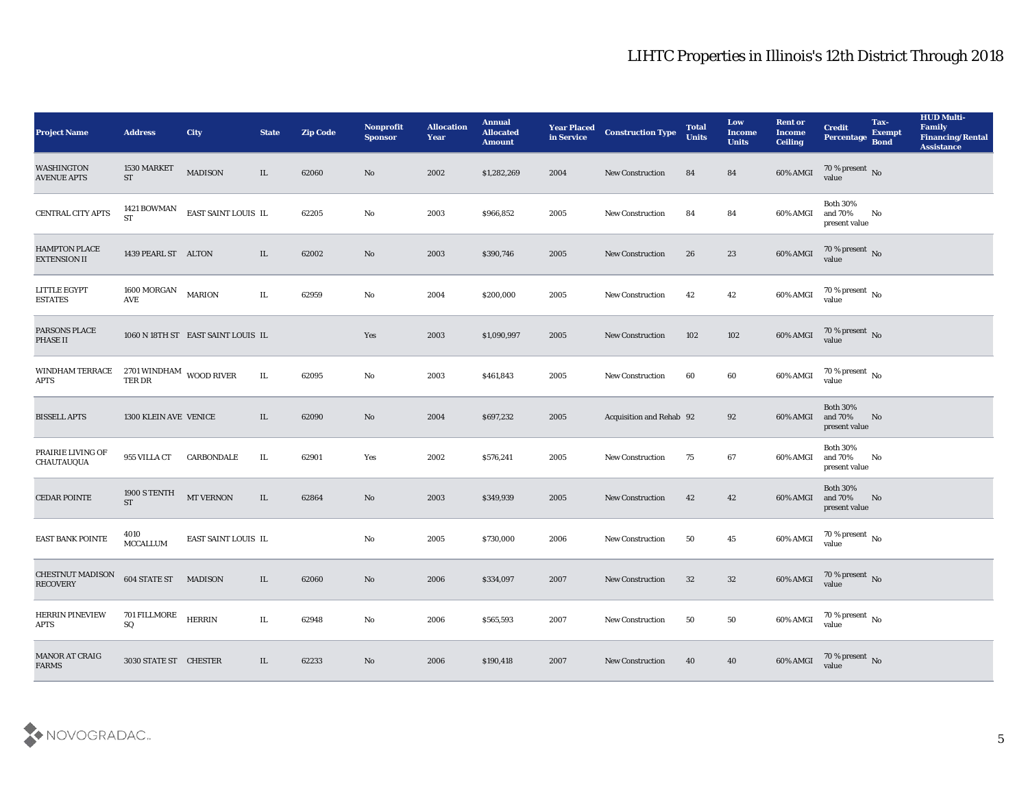| <b>Project Name</b>                         | <b>Address</b>                          | <b>City</b>                        | <b>State</b> | <b>Zip Code</b> | Nonprofit<br><b>Sponsor</b> | <b>Allocation</b><br><b>Year</b> | <b>Annual</b><br><b>Allocated</b><br><b>Amount</b> | <b>Year Placed</b><br>in Service | <b>Construction Type</b> | <b>Total</b><br><b>Units</b> | Low<br><b>Income</b><br><b>Units</b> | <b>Rent or</b><br><b>Income</b><br><b>Ceiling</b> | <b>Credit</b><br>Percentage                 | Tax-<br><b>Exempt</b><br><b>Bond</b> | <b>HUD Multi-</b><br>Family<br><b>Financing/Rental</b><br><b>Assistance</b> |
|---------------------------------------------|-----------------------------------------|------------------------------------|--------------|-----------------|-----------------------------|----------------------------------|----------------------------------------------------|----------------------------------|--------------------------|------------------------------|--------------------------------------|---------------------------------------------------|---------------------------------------------|--------------------------------------|-----------------------------------------------------------------------------|
| WASHINGTON<br><b>AVENUE APTS</b>            | 1530 MARKET<br><b>ST</b>                | <b>MADISON</b>                     | IL           | 62060           | No                          | 2002                             | \$1,282,269                                        | 2004                             | <b>New Construction</b>  | 84                           | 84                                   | 60% AMGI                                          | $70\,\%$ present $\,$ No value              |                                      |                                                                             |
| CENTRAL CITY APTS                           | 1421 BOWMAN<br><b>ST</b>                | EAST SAINT LOUIS IL                |              | 62205           | No                          | 2003                             | \$966,852                                          | 2005                             | <b>New Construction</b>  | 84                           | 84                                   | 60% AMGI                                          | <b>Both 30%</b><br>and 70%<br>present value | No                                   |                                                                             |
| <b>HAMPTON PLACE</b><br><b>EXTENSION II</b> | 1439 PEARL ST ALTON                     |                                    | IL           | 62002           | No                          | 2003                             | \$390,746                                          | 2005                             | <b>New Construction</b>  | 26                           | 23                                   | 60% AMGI                                          | $70\%$ present No<br>value                  |                                      |                                                                             |
| LITTLE EGYPT<br><b>ESTATES</b>              | 1600 MORGAN<br>AVE                      | <b>MARION</b>                      | IL           | 62959           | No                          | 2004                             | \$200,000                                          | 2005                             | <b>New Construction</b>  | 42                           | 42                                   | 60% AMGI                                          | $70\,\%$ present $\,$ No value              |                                      |                                                                             |
| PARSONS PLACE<br>PHASE II                   |                                         | 1060 N 18TH ST EAST SAINT LOUIS IL |              |                 | Yes                         | 2003                             | \$1,090,997                                        | 2005                             | <b>New Construction</b>  | 102                          | 102                                  | 60% AMGI                                          | $70\,\%$ present $\,$ No value              |                                      |                                                                             |
| WINDHAM TERRACE<br>APTS                     | 2701 WINDHAM WOOD RIVER<br>TER DR       |                                    | IL           | 62095           | No                          | 2003                             | \$461,843                                          | 2005                             | <b>New Construction</b>  | 60                           | 60                                   | 60% AMGI                                          | $70\,\%$ present $\,$ No value              |                                      |                                                                             |
| <b>BISSELL APTS</b>                         | 1300 KLEIN AVE VENICE                   |                                    | IL           | 62090           | No                          | 2004                             | \$697,232                                          | 2005                             | Acquisition and Rehab 92 |                              | 92                                   | 60% AMGI                                          | <b>Both 30%</b><br>and 70%<br>present value | No                                   |                                                                             |
| PRAIRIE LIVING OF<br><b>CHAUTAUQUA</b>      | 955 VILLA CT                            | CARBONDALE                         | IL           | 62901           | Yes                         | 2002                             | \$576,241                                          | 2005                             | <b>New Construction</b>  | 75                           | 67                                   | 60% AMGI                                          | <b>Both 30%</b><br>and 70%<br>present value | No                                   |                                                                             |
| <b>CEDAR POINTE</b>                         | 1900 S TENTH<br><b>ST</b>               | $\operatorname{MT}$ VERNON         | IL           | 62864           | No                          | 2003                             | \$349,939                                          | 2005                             | <b>New Construction</b>  | 42                           | 42                                   | 60% AMGI                                          | <b>Both 30%</b><br>and 70%<br>present value | No                                   |                                                                             |
| <b>EAST BANK POINTE</b>                     | 4010<br><b>MCCALLUM</b>                 | EAST SAINT LOUIS IL                |              |                 | No                          | 2005                             | \$730,000                                          | 2006                             | <b>New Construction</b>  | 50                           | 45                                   | 60% AMGI                                          | $70\,\%$ present $\,$ No value              |                                      |                                                                             |
| <b>CHESTNUT MADISON</b><br><b>RECOVERY</b>  | 604 STATE ST                            | <b>MADISON</b>                     | IL           | 62060           | No                          | 2006                             | \$334,097                                          | 2007                             | <b>New Construction</b>  | 32                           | 32                                   | 60% AMGI                                          | 70 % present No<br>value                    |                                      |                                                                             |
| <b>HERRIN PINEVIEW</b><br><b>APTS</b>       | 701 FILLMORE<br>$\mathbf{S} \mathbf{Q}$ | <b>HERRIN</b>                      | IL           | 62948           | No                          | 2006                             | \$565,593                                          | 2007                             | <b>New Construction</b>  | 50                           | 50                                   | 60% AMGI                                          | $70\,\%$ present $\,$ No value              |                                      |                                                                             |
| MANOR AT CRAIG<br><b>FARMS</b>              | 3030 STATE ST CHESTER                   |                                    | IL           | 62233           | $\rm\, No$                  | 2006                             | \$190,418                                          | 2007                             | New Construction         | 40                           | 40                                   | 60% AMGI                                          | $70\,\%$ present $\,$ No value              |                                      |                                                                             |

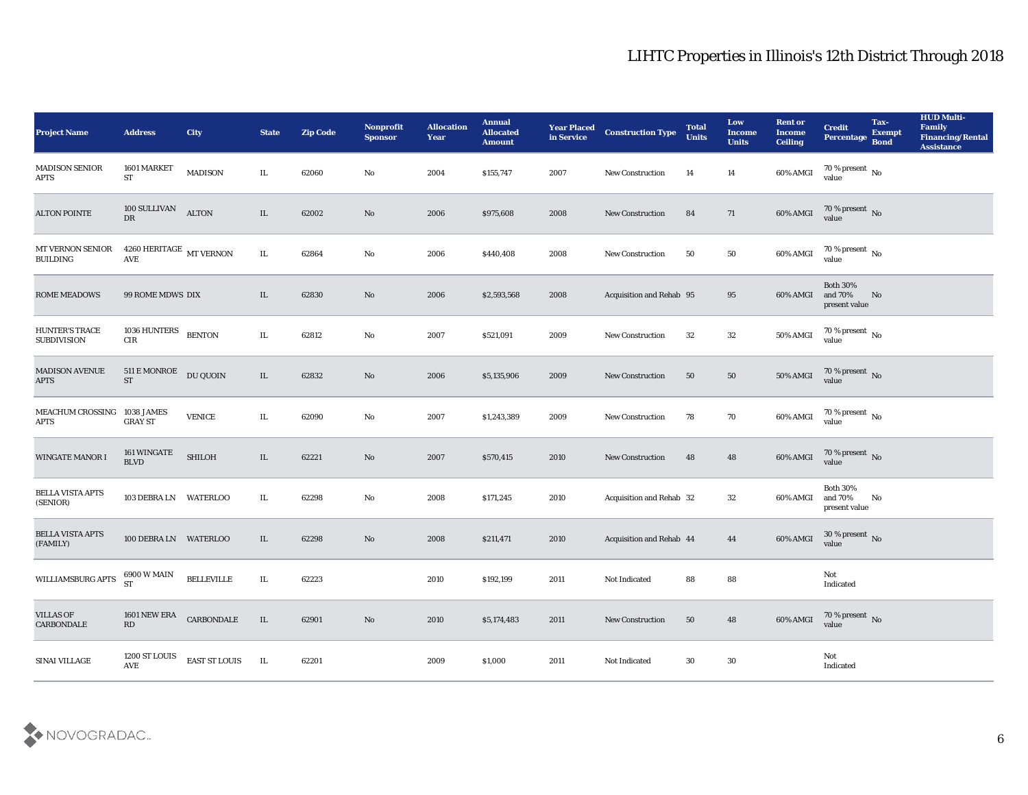| Project Name                                | <b>Address</b>                                  | City              | <b>State</b> | <b>Zip Code</b> | Nonprofit<br><b>Sponsor</b> | <b>Allocation</b><br><b>Year</b> | <b>Annual</b><br><b>Allocated</b><br><b>Amount</b> | <b>Year Placed</b><br>in Service | <b>Construction Type</b> | <b>Total</b><br><b>Units</b> | Low<br><b>Income</b><br><b>Units</b> | <b>Rent or</b><br><b>Income</b><br><b>Ceiling</b> | <b>Credit</b><br>Percentage                                                         | Tax-<br><b>Exempt</b><br><b>Bond</b> | <b>HUD Multi-</b><br>Family<br><b>Financing/Rental</b><br><b>Assistance</b> |
|---------------------------------------------|-------------------------------------------------|-------------------|--------------|-----------------|-----------------------------|----------------------------------|----------------------------------------------------|----------------------------------|--------------------------|------------------------------|--------------------------------------|---------------------------------------------------|-------------------------------------------------------------------------------------|--------------------------------------|-----------------------------------------------------------------------------|
| <b>MADISON SENIOR</b><br>APTS               | 1601 MARKET<br><b>ST</b>                        | MADISON           | IL           | 62060           | No                          | 2004                             | \$155,747                                          | 2007                             | <b>New Construction</b>  | 14                           | 14                                   | 60% AMGI                                          | 70 % present No<br>value                                                            |                                      |                                                                             |
| <b>ALTON POINTE</b>                         | 100 SULLIVAN<br>DR                              | <b>ALTON</b>      | IL           | 62002           | No                          | 2006                             | \$975,608                                          | 2008                             | <b>New Construction</b>  | 84                           | 71                                   | 60% AMGI                                          | $70\,\%$ present $\,$ No value                                                      |                                      |                                                                             |
| MT VERNON SENIOR<br><b>BUILDING</b>         | $4260\ {\rm HERITAGE}$ MT VERNON<br>AVE         |                   | IL           | 62864           | No                          | 2006                             | \$440,408                                          | 2008                             | New Construction         | 50                           | 50                                   | 60% AMGI                                          | $\begin{array}{c} 70\text{ %} \text{present} \\ \text{value} \end{array} \text{No}$ |                                      |                                                                             |
| <b>ROME MEADOWS</b>                         | 99 ROME MDWS DIX                                |                   | IL           | 62830           | No                          | 2006                             | \$2,593,568                                        | 2008                             | Acquisition and Rehab 95 |                              | 95                                   | 60% AMGI                                          | <b>Both 30%</b><br>and 70%<br>present value                                         | No                                   |                                                                             |
| <b>HUNTER'S TRACE</b><br><b>SUBDIVISION</b> | 1036 HUNTERS<br>${\rm CIR}$                     | <b>BENTON</b>     | IL           | 62812           | $\rm\thinspace No$          | 2007                             | \$521,091                                          | 2009                             | <b>New Construction</b>  | 32                           | 32                                   | 50% AMGI                                          | 70 % present $\,$ No $\,$<br>value                                                  |                                      |                                                                             |
| <b>MADISON AVENUE</b><br><b>APTS</b>        | $511\,\mathrm{E}\,\mathrm{MONROE}$<br><b>ST</b> | DU QUOIN          | IL           | 62832           | No                          | 2006                             | \$5,135,906                                        | 2009                             | <b>New Construction</b>  | 50                           | 50                                   | 50% AMGI                                          | $70\,\%$ present $\,$ No value                                                      |                                      |                                                                             |
| MEACHUM CROSSING<br>APTS                    | 1038 JAMES<br><b>GRAY ST</b>                    | <b>VENICE</b>     | IL           | 62090           | No                          | 2007                             | \$1,243,389                                        | 2009                             | <b>New Construction</b>  | 78                           | 70                                   | 60% AMGI                                          | $70\,\%$ present $\;$ No value                                                      |                                      |                                                                             |
| <b>WINGATE MANOR I</b>                      | 161 WINGATE<br><b>BLVD</b>                      | <b>SHILOH</b>     | IL           | 62221           | No                          | 2007                             | \$570,415                                          | 2010                             | <b>New Construction</b>  | 48                           | 48                                   | 60% AMGI                                          | $70\,\%$ present $\,$ No value                                                      |                                      |                                                                             |
| <b>BELLA VISTA APTS</b><br>(SENIOR)         | 103 DEBRA LN WATERLOO                           |                   | IL           | 62298           | No                          | 2008                             | \$171,245                                          | 2010                             | Acquisition and Rehab 32 |                              | 32                                   | 60% AMGI                                          | <b>Both 30%</b><br>and 70%<br>present value                                         | No                                   |                                                                             |
| <b>BELLA VISTA APTS</b><br>(FAMILY)         | 100 DEBRA LN WATERLOO                           |                   | IL           | 62298           | No                          | 2008                             | \$211,471                                          | 2010                             | Acquisition and Rehab 44 |                              | 44                                   | 60% AMGI                                          | $30\,\%$ present $\,$ No value                                                      |                                      |                                                                             |
| WILLIAMSBURG APTS                           | 6900 W MAIN<br><b>ST</b>                        | <b>BELLEVILLE</b> | IL           | 62223           |                             | 2010                             | \$192,199                                          | 2011                             | Not Indicated            | 88                           | 88                                   |                                                   | Not<br>Indicated                                                                    |                                      |                                                                             |
| <b>VILLAS OF</b><br><b>CARBONDALE</b>       | 1601 NEW ERA<br>RD                              | CARBONDALE        | $\;$ IL      | 62901           | $\rm\thinspace No$          | 2010                             | \$5,174,483                                        | 2011                             | <b>New Construction</b>  | 50                           | 48                                   | 60% AMGI                                          | $70\,\%$ present $\,$ No value                                                      |                                      |                                                                             |
| SINAI VILLAGE                               | 1200 ST LOUIS<br>AVE                            | EAST ST LOUIS     | IL           | 62201           |                             | 2009                             | \$1,000                                            | 2011                             | Not Indicated            | $30\,$                       | 30                                   |                                                   | $\mathbf{Not}$<br>Indicated                                                         |                                      |                                                                             |

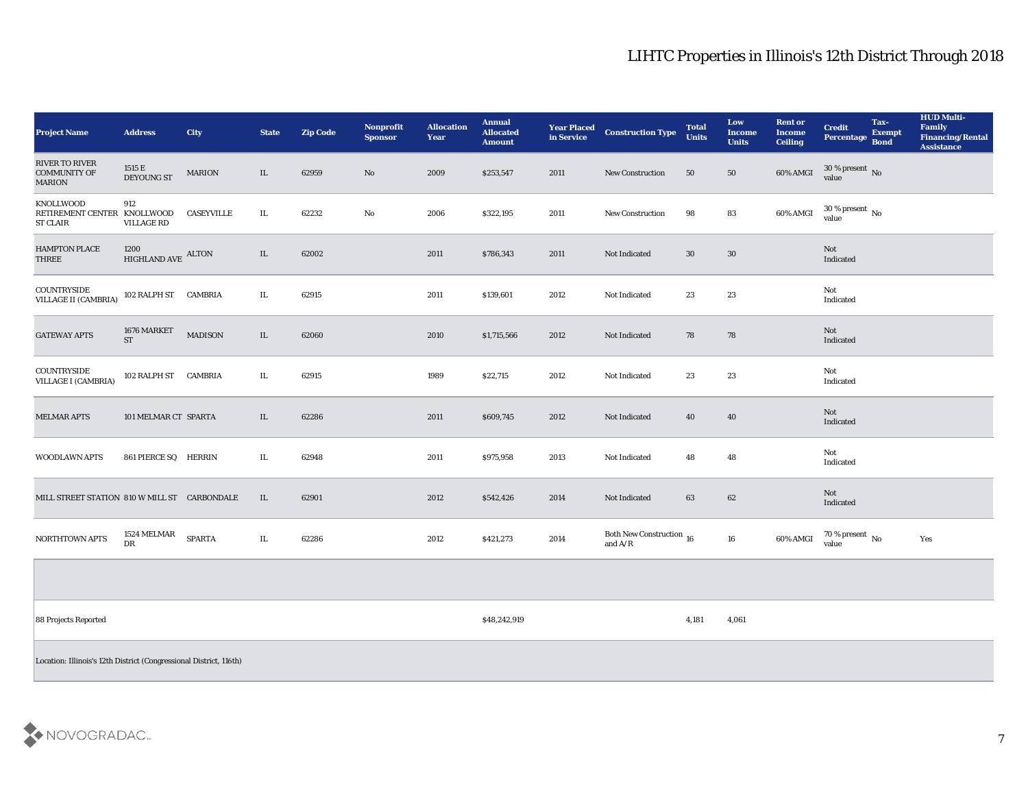| <b>Project Name</b>                                                | <b>Address</b>                | <b>City</b>       | <b>State</b> | <b>Zip Code</b> | Nonprofit<br><b>Sponsor</b> | <b>Allocation</b><br>Year | <b>Annual</b><br><b>Allocated</b><br><b>Amount</b> | <b>Year Placed</b><br>in Service | <b>Construction Type</b>                             | <b>Total</b><br><b>Units</b> | Low<br><b>Income</b><br><b>Units</b> | <b>Rent or</b><br><b>Income</b><br><b>Ceiling</b> | <b>Credit</b><br>Percentage Bond | Tax-<br><b>Exempt</b> | <b>HUD Multi-</b><br>Family<br><b>Financing/Rental</b><br><b>Assistance</b> |
|--------------------------------------------------------------------|-------------------------------|-------------------|--------------|-----------------|-----------------------------|---------------------------|----------------------------------------------------|----------------------------------|------------------------------------------------------|------------------------------|--------------------------------------|---------------------------------------------------|----------------------------------|-----------------------|-----------------------------------------------------------------------------|
| <b>RIVER TO RIVER</b><br><b>COMMUNITY OF</b><br><b>MARION</b>      | 1515 E<br>DEYOUNG ST          | <b>MARION</b>     | IL           | 62959           | No                          | 2009                      | \$253,547                                          | 2011                             | <b>New Construction</b>                              | 50                           | 50                                   | 60% AMGI                                          | $30\,\%$ present $\,$ No value   |                       |                                                                             |
| KNOLLWOOD<br>RETIREMENT CENTER KNOLLWOOD<br><b>ST CLAIR</b>        | 912<br><b>VILLAGE RD</b>      | <b>CASEYVILLE</b> | IL.          | 62232           | No                          | 2006                      | \$322,195                                          | 2011                             | <b>New Construction</b>                              | 98                           | 83                                   | 60% AMGI                                          | $30\,\%$ present $\,$ No value   |                       |                                                                             |
| <b>HAMPTON PLACE</b><br><b>THREE</b>                               | 1200<br>HIGHLAND AVE ALTON    |                   | IL           | 62002           |                             | 2011                      | \$786,343                                          | 2011                             | Not Indicated                                        | 30                           | 30                                   |                                                   | Not<br>Indicated                 |                       |                                                                             |
| COUNTRYSIDE<br>VILLAGE II (CAMBRIA)                                | 102 RALPH ST CAMBRIA          |                   | IL.          | 62915           |                             | 2011                      | \$139,601                                          | 2012                             | Not Indicated                                        | 23                           | 23                                   |                                                   | Not<br>Indicated                 |                       |                                                                             |
| <b>GATEWAY APTS</b>                                                | 1676 MARKET<br><b>ST</b>      | <b>MADISON</b>    | IL           | 62060           |                             | 2010                      | \$1,715,566                                        | 2012                             | Not Indicated                                        | 78                           | 78                                   |                                                   | Not<br>Indicated                 |                       |                                                                             |
| COUNTRYSIDE<br><b>VILLAGE I (CAMBRIA)</b>                          | 102 RALPH ST CAMBRIA          |                   | IL.          | 62915           |                             | 1989                      | \$22,715                                           | 2012                             | Not Indicated                                        | 23                           | 23                                   |                                                   | Not<br>Indicated                 |                       |                                                                             |
| <b>MELMAR APTS</b>                                                 | 101 MELMAR CT SPARTA          |                   | IL           | 62286           |                             | 2011                      | \$609,745                                          | 2012                             | Not Indicated                                        | 40                           | 40                                   |                                                   | Not<br>Indicated                 |                       |                                                                             |
| <b>WOODLAWN APTS</b>                                               | 861 PIERCE SQ HERRIN          |                   | IL           | 62948           |                             | 2011                      | \$975,958                                          | 2013                             | Not Indicated                                        | 48                           | 48                                   |                                                   | Not<br>Indicated                 |                       |                                                                             |
| MILL STREET STATION 810 W MILL ST CARBONDALE                       |                               |                   | IL           | 62901           |                             | 2012                      | \$542,426                                          | 2014                             | Not Indicated                                        | 63                           | 62                                   |                                                   | Not<br>Indicated                 |                       |                                                                             |
| NORTHTOWN APTS                                                     | $1524\ \mathrm{MELMAR}$<br>DR | <b>SPARTA</b>     | IL.          | 62286           |                             | 2012                      | \$421,273                                          | 2014                             | Both New Construction $$\,16$$ and ${\rm A}/{\rm R}$ |                              | 16                                   | 60% AMGI                                          | $70\,\%$ present $\,$ No value   |                       | Yes                                                                         |
|                                                                    |                               |                   |              |                 |                             |                           |                                                    |                                  |                                                      |                              |                                      |                                                   |                                  |                       |                                                                             |
| 88 Projects Reported                                               |                               |                   |              |                 |                             |                           | \$48,242,919                                       |                                  |                                                      | 4,181                        | 4,061                                |                                                   |                                  |                       |                                                                             |
| Location: Illinois's 12th District (Congressional District, 116th) |                               |                   |              |                 |                             |                           |                                                    |                                  |                                                      |                              |                                      |                                                   |                                  |                       |                                                                             |